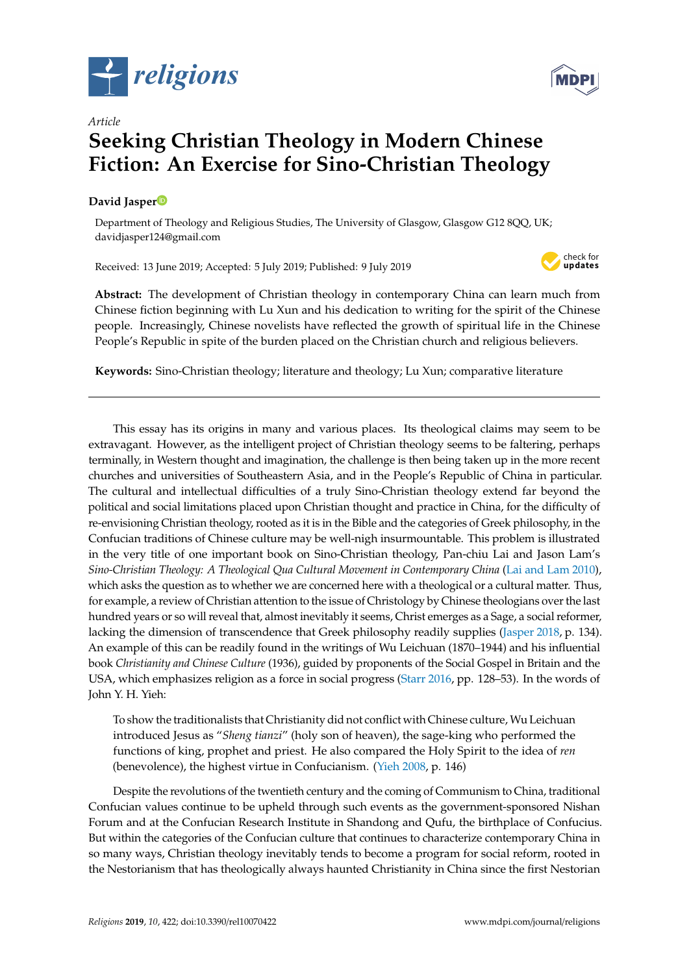



## *Article* **Seeking Christian Theology in Modern Chinese Fiction: An Exercise for Sino-Christian Theology**

## **David Jaspe[r](https://orcid.org/0000-0002-9846-0704)**

Department of Theology and Religious Studies, The University of Glasgow, Glasgow G12 8QQ, UK; davidjasper124@gmail.com

Received: 13 June 2019; Accepted: 5 July 2019; Published: 9 July 2019



**Abstract:** The development of Christian theology in contemporary China can learn much from Chinese fiction beginning with Lu Xun and his dedication to writing for the spirit of the Chinese people. Increasingly, Chinese novelists have reflected the growth of spiritual life in the Chinese People's Republic in spite of the burden placed on the Christian church and religious believers.

**Keywords:** Sino-Christian theology; literature and theology; Lu Xun; comparative literature

This essay has its origins in many and various places. Its theological claims may seem to be extravagant. However, as the intelligent project of Christian theology seems to be faltering, perhaps terminally, in Western thought and imagination, the challenge is then being taken up in the more recent churches and universities of Southeastern Asia, and in the People's Republic of China in particular. The cultural and intellectual difficulties of a truly Sino-Christian theology extend far beyond the political and social limitations placed upon Christian thought and practice in China, for the difficulty of re-envisioning Christian theology, rooted as it is in the Bible and the categories of Greek philosophy, in the Confucian traditions of Chinese culture may be well-nigh insurmountable. This problem is illustrated in the very title of one important book on Sino-Christian theology, Pan-chiu Lai and Jason Lam's *Sino-Christian Theology: A Theological Qua Cultural Movement in Contemporary China* [\(Lai and Lam](#page-8-0) [2010\)](#page-8-0), which asks the question as to whether we are concerned here with a theological or a cultural matter. Thus, for example, a review of Christian attention to the issue of Christology by Chinese theologians over the last hundred years or so will reveal that, almost inevitably it seems, Christ emerges as a Sage, a social reformer, lacking the dimension of transcendence that Greek philosophy readily supplies [\(Jasper](#page-8-1) [2018,](#page-8-1) p. 134). An example of this can be readily found in the writings of Wu Leichuan (1870–1944) and his influential book *Christianity and Chinese Culture* (1936), guided by proponents of the Social Gospel in Britain and the USA, which emphasizes religion as a force in social progress [\(Starr](#page-9-0) [2016,](#page-9-0) pp. 128–53). In the words of John Y. H. Yieh:

To show the traditionalists that Christianity did not conflict with Chinese culture, Wu Leichuan introduced Jesus as "*Sheng tianzi*" (holy son of heaven), the sage-king who performed the functions of king, prophet and priest. He also compared the Holy Spirit to the idea of *ren* (benevolence), the highest virtue in Confucianism. [\(Yieh](#page-9-1) [2008,](#page-9-1) p. 146)

Despite the revolutions of the twentieth century and the coming of Communism to China, traditional Confucian values continue to be upheld through such events as the government-sponsored Nishan Forum and at the Confucian Research Institute in Shandong and Qufu, the birthplace of Confucius. But within the categories of the Confucian culture that continues to characterize contemporary China in so many ways, Christian theology inevitably tends to become a program for social reform, rooted in the Nestorianism that has theologically always haunted Christianity in China since the first Nestorian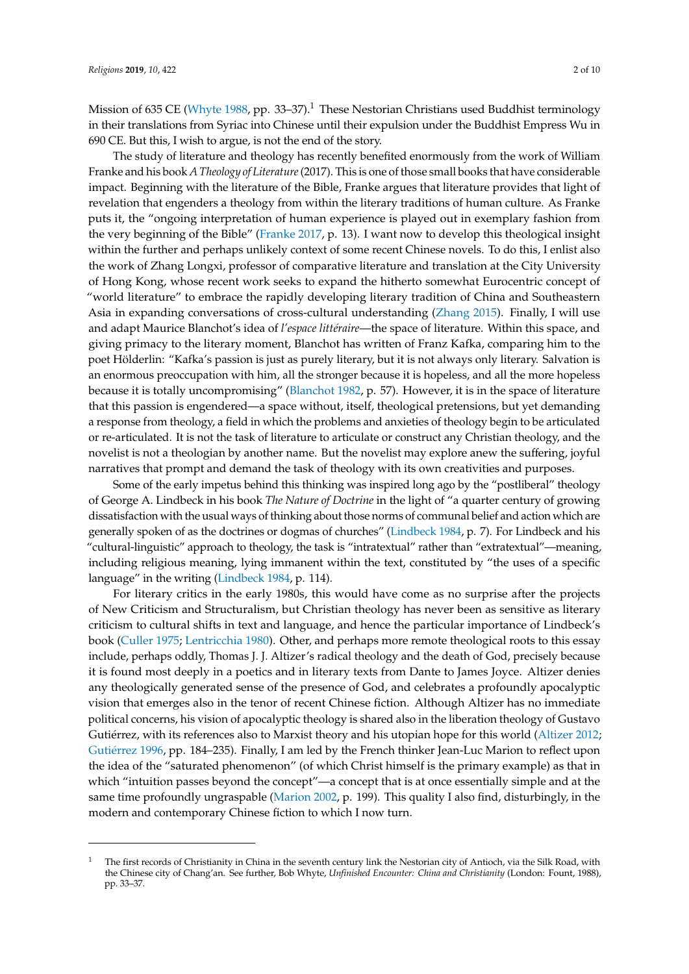Mission of 635 CE [\(Whyte](#page-9-2) [1988,](#page-9-2) pp. 33–37).<sup>1</sup> These Nestorian Christians used Buddhist terminology in their translations from Syriac into Chinese until their expulsion under the Buddhist Empress Wu in 690 CE. But this, I wish to argue, is not the end of the story.

The study of literature and theology has recently benefited enormously from the work of William Franke and his book *A Theology of Literature*(2017). This is one of those small books that have considerable impact. Beginning with the literature of the Bible, Franke argues that literature provides that light of revelation that engenders a theology from within the literary traditions of human culture. As Franke puts it, the "ongoing interpretation of human experience is played out in exemplary fashion from the very beginning of the Bible" [\(Franke](#page-8-2) [2017,](#page-8-2) p. 13). I want now to develop this theological insight within the further and perhaps unlikely context of some recent Chinese novels. To do this, I enlist also the work of Zhang Longxi, professor of comparative literature and translation at the City University of Hong Kong, whose recent work seeks to expand the hitherto somewhat Eurocentric concept of "world literature" to embrace the rapidly developing literary tradition of China and Southeastern Asia in expanding conversations of cross-cultural understanding [\(Zhang](#page-8-3) [2015\)](#page-8-3). Finally, I will use and adapt Maurice Blanchot's idea of *l'espace littéraire*—the space of literature. Within this space, and giving primacy to the literary moment, Blanchot has written of Franz Kafka, comparing him to the poet Hölderlin: "Kafka's passion is just as purely literary, but it is not always only literary. Salvation is an enormous preoccupation with him, all the stronger because it is hopeless, and all the more hopeless because it is totally uncompromising" [\(Blanchot](#page-8-4) [1982,](#page-8-4) p. 57). However, it is in the space of literature that this passion is engendered—a space without, itself, theological pretensions, but yet demanding a response from theology, a field in which the problems and anxieties of theology begin to be articulated or re-articulated. It is not the task of literature to articulate or construct any Christian theology, and the novelist is not a theologian by another name. But the novelist may explore anew the suffering, joyful narratives that prompt and demand the task of theology with its own creativities and purposes.

Some of the early impetus behind this thinking was inspired long ago by the "postliberal" theology of George A. Lindbeck in his book *The Nature of Doctrine* in the light of "a quarter century of growing dissatisfaction with the usual ways of thinking about those norms of communal belief and action which are generally spoken of as the doctrines or dogmas of churches" [\(Lindbeck](#page-8-5) [1984,](#page-8-5) p. 7). For Lindbeck and his "cultural-linguistic" approach to theology, the task is "intratextual" rather than "extratextual"—meaning, including religious meaning, lying immanent within the text, constituted by "the uses of a specific language" in the writing [\(Lindbeck](#page-8-5) [1984,](#page-8-5) p. 114).

For literary critics in the early 1980s, this would have come as no surprise after the projects of New Criticism and Structuralism, but Christian theology has never been as sensitive as literary criticism to cultural shifts in text and language, and hence the particular importance of Lindbeck's book [\(Culler](#page-8-6) [1975;](#page-8-6) [Lentricchia](#page-8-7) [1980\)](#page-8-7). Other, and perhaps more remote theological roots to this essay include, perhaps oddly, Thomas J. J. Altizer's radical theology and the death of God, precisely because it is found most deeply in a poetics and in literary texts from Dante to James Joyce. Altizer denies any theologically generated sense of the presence of God, and celebrates a profoundly apocalyptic vision that emerges also in the tenor of recent Chinese fiction. Although Altizer has no immediate political concerns, his vision of apocalyptic theology is shared also in the liberation theology of Gustavo Gutiérrez, with its references also to Marxist theory and his utopian hope for this world [\(Altizer](#page-8-8) [2012;](#page-8-8) [Guti](#page-8-9)érrez [1996,](#page-8-9) pp. 184–235). Finally, I am led by the French thinker Jean-Luc Marion to reflect upon the idea of the "saturated phenomenon" (of which Christ himself is the primary example) as that in which "intuition passes beyond the concept"—a concept that is at once essentially simple and at the same time profoundly ungraspable [\(Marion](#page-9-3) [2002,](#page-9-3) p. 199). This quality I also find, disturbingly, in the modern and contemporary Chinese fiction to which I now turn.

<sup>1</sup> The first records of Christianity in China in the seventh century link the Nestorian city of Antioch, via the Silk Road, with the Chinese city of Chang'an. See further, Bob Whyte, *Unfinished Encounter: China and Christianity* (London: Fount, 1988), pp. 33–37.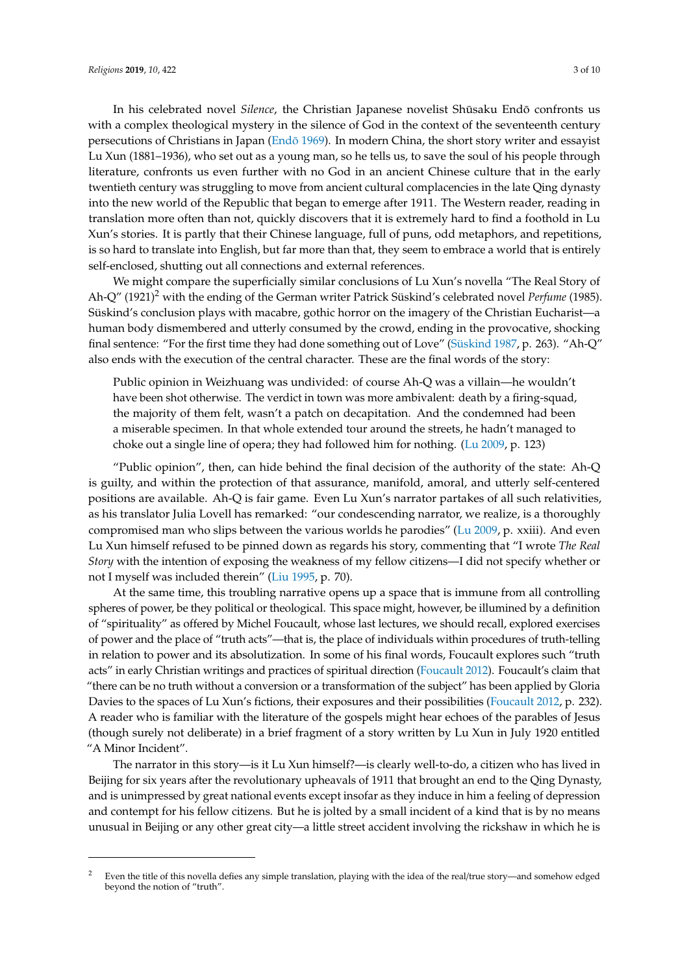In his celebrated novel *Silence*, the Christian Japanese novelist Shūsaku Endō confronts us with a complex theological mystery in the silence of God in the context of the seventeenth century persecutions of Christians in Japan [\(Endo¯](#page-8-10) [1969\)](#page-8-10). In modern China, the short story writer and essayist Lu Xun (1881–1936), who set out as a young man, so he tells us, to save the soul of his people through literature, confronts us even further with no God in an ancient Chinese culture that in the early twentieth century was struggling to move from ancient cultural complacencies in the late Qing dynasty into the new world of the Republic that began to emerge after 1911. The Western reader, reading in translation more often than not, quickly discovers that it is extremely hard to find a foothold in Lu Xun's stories. It is partly that their Chinese language, full of puns, odd metaphors, and repetitions, is so hard to translate into English, but far more than that, they seem to embrace a world that is entirely self-enclosed, shutting out all connections and external references.

We might compare the superficially similar conclusions of Lu Xun's novella "The Real Story of Ah-Q" (1921)<sup>2</sup> with the ending of the German writer Patrick Süskind's celebrated novel *Perfume* (1985). Süskind's conclusion plays with macabre, gothic horror on the imagery of the Christian Eucharist—a human body dismembered and utterly consumed by the crowd, ending in the provocative, shocking final sentence: "For the first time they had done something out of Love" [\(Süskind](#page-9-4) [1987,](#page-9-4) p. 263). "Ah-Q" also ends with the execution of the central character. These are the final words of the story:

Public opinion in Weizhuang was undivided: of course Ah-Q was a villain—he wouldn't have been shot otherwise. The verdict in town was more ambivalent: death by a firing-squad, the majority of them felt, wasn't a patch on decapitation. And the condemned had been a miserable specimen. In that whole extended tour around the streets, he hadn't managed to choke out a single line of opera; they had followed him for nothing. [\(Lu](#page-9-5) [2009,](#page-9-5) p. 123)

"Public opinion", then, can hide behind the final decision of the authority of the state: Ah-Q is guilty, and within the protection of that assurance, manifold, amoral, and utterly self-centered positions are available. Ah-Q is fair game. Even Lu Xun's narrator partakes of all such relativities, as his translator Julia Lovell has remarked: "our condescending narrator, we realize, is a thoroughly compromised man who slips between the various worlds he parodies" [\(Lu](#page-9-5) [2009,](#page-9-5) p. xxiii). And even Lu Xun himself refused to be pinned down as regards his story, commenting that "I wrote *The Real Story* with the intention of exposing the weakness of my fellow citizens—I did not specify whether or not I myself was included therein" [\(Liu](#page-8-11) [1995,](#page-8-11) p. 70).

At the same time, this troubling narrative opens up a space that is immune from all controlling spheres of power, be they political or theological. This space might, however, be illumined by a definition of "spirituality" as offered by Michel Foucault, whose last lectures, we should recall, explored exercises of power and the place of "truth acts"—that is, the place of individuals within procedures of truth-telling in relation to power and its absolutization. In some of his final words, Foucault explores such "truth acts" in early Christian writings and practices of spiritual direction [\(Foucault](#page-8-12) [2012\)](#page-8-12). Foucault's claim that "there can be no truth without a conversion or a transformation of the subject" has been applied by Gloria Davies to the spaces of Lu Xun's fictions, their exposures and their possibilities [\(Foucault](#page-8-12) [2012,](#page-8-12) p. 232). A reader who is familiar with the literature of the gospels might hear echoes of the parables of Jesus (though surely not deliberate) in a brief fragment of a story written by Lu Xun in July 1920 entitled "A Minor Incident".

The narrator in this story—is it Lu Xun himself?—is clearly well-to-do, a citizen who has lived in Beijing for six years after the revolutionary upheavals of 1911 that brought an end to the Qing Dynasty, and is unimpressed by great national events except insofar as they induce in him a feeling of depression and contempt for his fellow citizens. But he is jolted by a small incident of a kind that is by no means unusual in Beijing or any other great city—a little street accident involving the rickshaw in which he is

<sup>2</sup> Even the title of this novella defies any simple translation, playing with the idea of the real/true story—and somehow edged beyond the notion of "truth".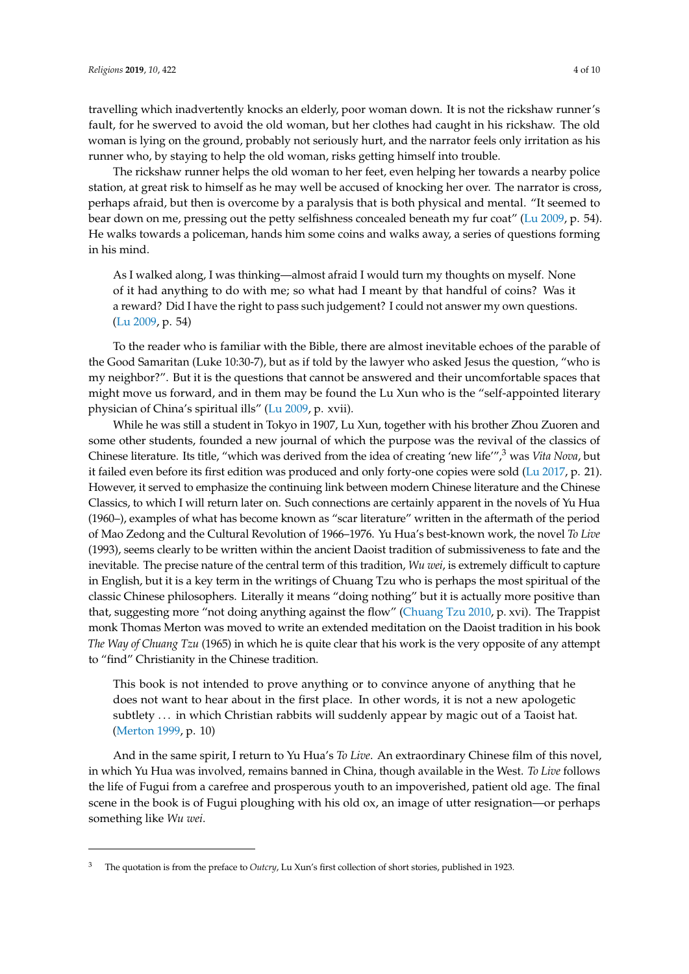travelling which inadvertently knocks an elderly, poor woman down. It is not the rickshaw runner's fault, for he swerved to avoid the old woman, but her clothes had caught in his rickshaw. The old woman is lying on the ground, probably not seriously hurt, and the narrator feels only irritation as his runner who, by staying to help the old woman, risks getting himself into trouble.

The rickshaw runner helps the old woman to her feet, even helping her towards a nearby police station, at great risk to himself as he may well be accused of knocking her over. The narrator is cross, perhaps afraid, but then is overcome by a paralysis that is both physical and mental. "It seemed to bear down on me, pressing out the petty selfishness concealed beneath my fur coat" [\(Lu](#page-9-5) [2009,](#page-9-5) p. 54). He walks towards a policeman, hands him some coins and walks away, a series of questions forming in his mind.

As I walked along, I was thinking—almost afraid I would turn my thoughts on myself. None of it had anything to do with me; so what had I meant by that handful of coins? Was it a reward? Did I have the right to pass such judgement? I could not answer my own questions. [\(Lu](#page-9-5) [2009,](#page-9-5) p. 54)

To the reader who is familiar with the Bible, there are almost inevitable echoes of the parable of the Good Samaritan (Luke 10:30-7), but as if told by the lawyer who asked Jesus the question, "who is my neighbor?". But it is the questions that cannot be answered and their uncomfortable spaces that might move us forward, and in them may be found the Lu Xun who is the "self-appointed literary physician of China's spiritual ills" [\(Lu](#page-9-5) [2009,](#page-9-5) p. xvii).

While he was still a student in Tokyo in 1907, Lu Xun, together with his brother Zhou Zuoren and some other students, founded a new journal of which the purpose was the revival of the classics of Chinese literature. Its title, "which was derived from the idea of creating 'new life'",<sup>3</sup> was *Vita Nova*, but it failed even before its first edition was produced and only forty-one copies were sold [\(Lu](#page-9-6) [2017,](#page-9-6) p. 21). However, it served to emphasize the continuing link between modern Chinese literature and the Chinese Classics, to which I will return later on. Such connections are certainly apparent in the novels of Yu Hua (1960–), examples of what has become known as "scar literature" written in the aftermath of the period of Mao Zedong and the Cultural Revolution of 1966–1976. Yu Hua's best-known work, the novel *To Live* (1993), seems clearly to be written within the ancient Daoist tradition of submissiveness to fate and the inevitable. The precise nature of the central term of this tradition, *Wu wei*, is extremely difficult to capture in English, but it is a key term in the writings of Chuang Tzu who is perhaps the most spiritual of the classic Chinese philosophers. Literally it means "doing nothing" but it is actually more positive than that, suggesting more "not doing anything against the flow" [\(Chuang Tzu](#page-8-13) [2010,](#page-8-13) p. xvi). The Trappist monk Thomas Merton was moved to write an extended meditation on the Daoist tradition in his book *The Way of Chuang Tzu* (1965) in which he is quite clear that his work is the very opposite of any attempt to "find" Christianity in the Chinese tradition.

This book is not intended to prove anything or to convince anyone of anything that he does not want to hear about in the first place. In other words, it is not a new apologetic subtlety ... in which Christian rabbits will suddenly appear by magic out of a Taoist hat. [\(Merton](#page-9-7) [1999,](#page-9-7) p. 10)

And in the same spirit, I return to Yu Hua's *To Live*. An extraordinary Chinese film of this novel, in which Yu Hua was involved, remains banned in China, though available in the West. *To Live* follows the life of Fugui from a carefree and prosperous youth to an impoverished, patient old age. The final scene in the book is of Fugui ploughing with his old ox, an image of utter resignation—or perhaps something like *Wu wei*.

<sup>3</sup> The quotation is from the preface to *Outcry*, Lu Xun's first collection of short stories, published in 1923.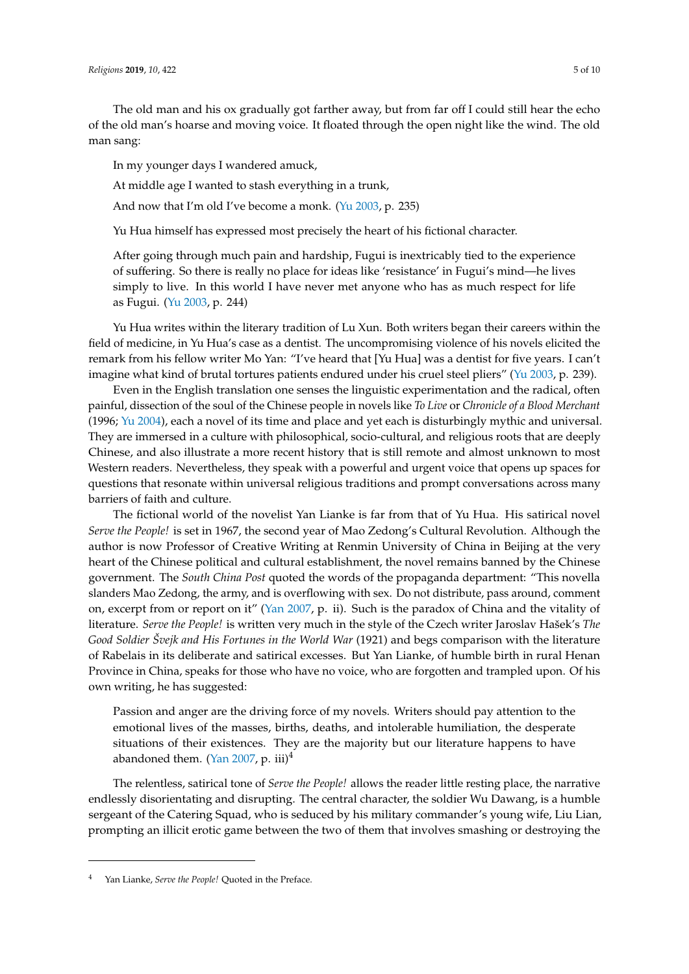The old man and his ox gradually got farther away, but from far off I could still hear the echo of the old man's hoarse and moving voice. It floated through the open night like the wind. The old man sang:

In my younger days I wandered amuck,

At middle age I wanted to stash everything in a trunk,

And now that I'm old I've become a monk. [\(Yu](#page-8-14) [2003,](#page-8-14) p. 235)

Yu Hua himself has expressed most precisely the heart of his fictional character.

After going through much pain and hardship, Fugui is inextricably tied to the experience of suffering. So there is really no place for ideas like 'resistance' in Fugui's mind—he lives simply to live. In this world I have never met anyone who has as much respect for life as Fugui. [\(Yu](#page-8-14) [2003,](#page-8-14) p. 244)

Yu Hua writes within the literary tradition of Lu Xun. Both writers began their careers within the field of medicine, in Yu Hua's case as a dentist. The uncompromising violence of his novels elicited the remark from his fellow writer Mo Yan: "I've heard that [Yu Hua] was a dentist for five years. I can't imagine what kind of brutal tortures patients endured under his cruel steel pliers" [\(Yu](#page-8-14) [2003,](#page-8-14) p. 239).

Even in the English translation one senses the linguistic experimentation and the radical, often painful, dissection of the soul of the Chinese people in novels like *To Live* or *Chronicle of a Blood Merchant* (1996;  $Yu$  [2004\)](#page-8-15), each a novel of its time and place and yet each is disturbingly mythic and universal. They are immersed in a culture with philosophical, socio-cultural, and religious roots that are deeply Chinese, and also illustrate a more recent history that is still remote and almost unknown to most Western readers. Nevertheless, they speak with a powerful and urgent voice that opens up spaces for questions that resonate within universal religious traditions and prompt conversations across many barriers of faith and culture.

The fictional world of the novelist Yan Lianke is far from that of Yu Hua. His satirical novel *Serve the People!* is set in 1967, the second year of Mao Zedong's Cultural Revolution. Although the author is now Professor of Creative Writing at Renmin University of China in Beijing at the very heart of the Chinese political and cultural establishment, the novel remains banned by the Chinese government. The *South China Post* quoted the words of the propaganda department: "This novella slanders Mao Zedong, the army, and is overflowing with sex. Do not distribute, pass around, comment on, excerpt from or report on it" [\(Yan](#page-8-16) [2007,](#page-8-16) p. ii). Such is the paradox of China and the vitality of literature. *Serve the People!* is written very much in the style of the Czech writer Jaroslav Hašek's *The Good Soldier Švejk and His Fortunes in the World War* (1921) and begs comparison with the literature of Rabelais in its deliberate and satirical excesses. But Yan Lianke, of humble birth in rural Henan Province in China, speaks for those who have no voice, who are forgotten and trampled upon. Of his own writing, he has suggested:

Passion and anger are the driving force of my novels. Writers should pay attention to the emotional lives of the masses, births, deaths, and intolerable humiliation, the desperate situations of their existences. They are the majority but our literature happens to have abandoned them. [\(Yan](#page-8-16) [2007,](#page-8-16) p. iii)<sup>4</sup>

The relentless, satirical tone of *Serve the People!* allows the reader little resting place, the narrative endlessly disorientating and disrupting. The central character, the soldier Wu Dawang, is a humble sergeant of the Catering Squad, who is seduced by his military commander's young wife, Liu Lian, prompting an illicit erotic game between the two of them that involves smashing or destroying the

Yan Lianke, *Serve the People!* Quoted in the Preface.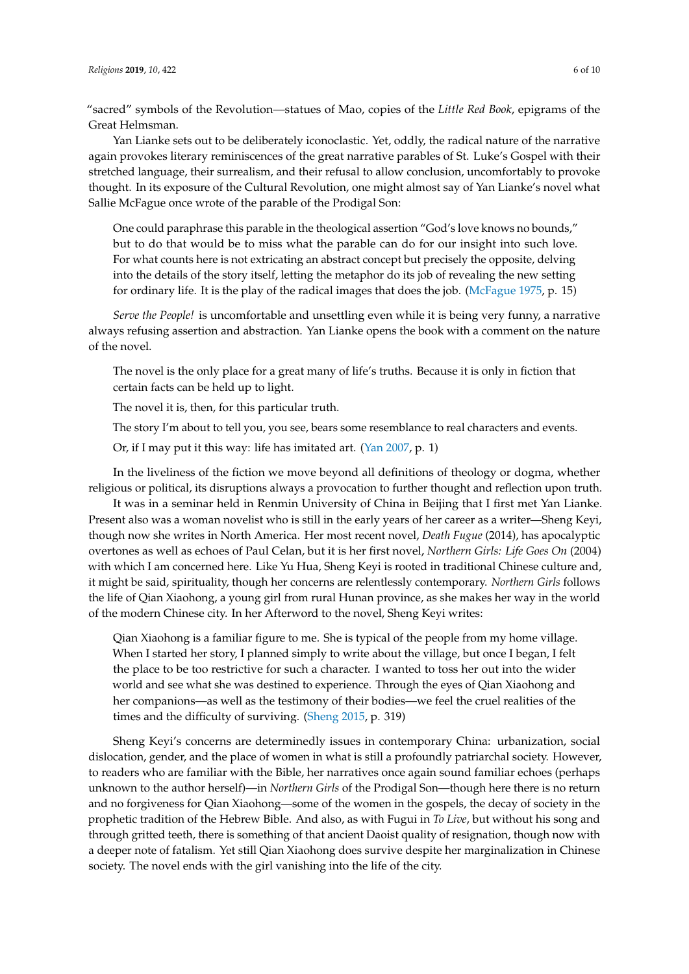"sacred" symbols of the Revolution—statues of Mao, copies of the *Little Red Book*, epigrams of the Great Helmsman.

Yan Lianke sets out to be deliberately iconoclastic. Yet, oddly, the radical nature of the narrative again provokes literary reminiscences of the great narrative parables of St. Luke's Gospel with their stretched language, their surrealism, and their refusal to allow conclusion, uncomfortably to provoke thought. In its exposure of the Cultural Revolution, one might almost say of Yan Lianke's novel what Sallie McFague once wrote of the parable of the Prodigal Son:

One could paraphrase this parable in the theological assertion "God's love knows no bounds," but to do that would be to miss what the parable can do for our insight into such love. For what counts here is not extricating an abstract concept but precisely the opposite, delving into the details of the story itself, letting the metaphor do its job of revealing the new setting for ordinary life. It is the play of the radical images that does the job. [\(McFague](#page-9-8) [1975,](#page-9-8) p. 15)

*Serve the People!* is uncomfortable and unsettling even while it is being very funny, a narrative always refusing assertion and abstraction. Yan Lianke opens the book with a comment on the nature of the novel.

The novel is the only place for a great many of life's truths. Because it is only in fiction that certain facts can be held up to light.

The novel it is, then, for this particular truth.

The story I'm about to tell you, you see, bears some resemblance to real characters and events.

Or, if I may put it this way: life has imitated art. [\(Yan](#page-8-16) [2007,](#page-8-16) p. 1)

In the liveliness of the fiction we move beyond all definitions of theology or dogma, whether religious or political, its disruptions always a provocation to further thought and reflection upon truth.

It was in a seminar held in Renmin University of China in Beijing that I first met Yan Lianke. Present also was a woman novelist who is still in the early years of her career as a writer—Sheng Keyi, though now she writes in North America. Her most recent novel, *Death Fugue* (2014), has apocalyptic overtones as well as echoes of Paul Celan, but it is her first novel, *Northern Girls: Life Goes On* (2004) with which I am concerned here. Like Yu Hua, Sheng Keyi is rooted in traditional Chinese culture and, it might be said, spirituality, though her concerns are relentlessly contemporary. *Northern Girls* follows the life of Qian Xiaohong, a young girl from rural Hunan province, as she makes her way in the world of the modern Chinese city. In her Afterword to the novel, Sheng Keyi writes:

Qian Xiaohong is a familiar figure to me. She is typical of the people from my home village. When I started her story, I planned simply to write about the village, but once I began, I felt the place to be too restrictive for such a character. I wanted to toss her out into the wider world and see what she was destined to experience. Through the eyes of Qian Xiaohong and her companions—as well as the testimony of their bodies—we feel the cruel realities of the times and the difficulty of surviving. [\(Sheng](#page-8-17) [2015,](#page-8-17) p. 319)

Sheng Keyi's concerns are determinedly issues in contemporary China: urbanization, social dislocation, gender, and the place of women in what is still a profoundly patriarchal society. However, to readers who are familiar with the Bible, her narratives once again sound familiar echoes (perhaps unknown to the author herself)—in *Northern Girls* of the Prodigal Son—though here there is no return and no forgiveness for Qian Xiaohong—some of the women in the gospels, the decay of society in the prophetic tradition of the Hebrew Bible. And also, as with Fugui in *To Live*, but without his song and through gritted teeth, there is something of that ancient Daoist quality of resignation, though now with a deeper note of fatalism. Yet still Qian Xiaohong does survive despite her marginalization in Chinese society. The novel ends with the girl vanishing into the life of the city.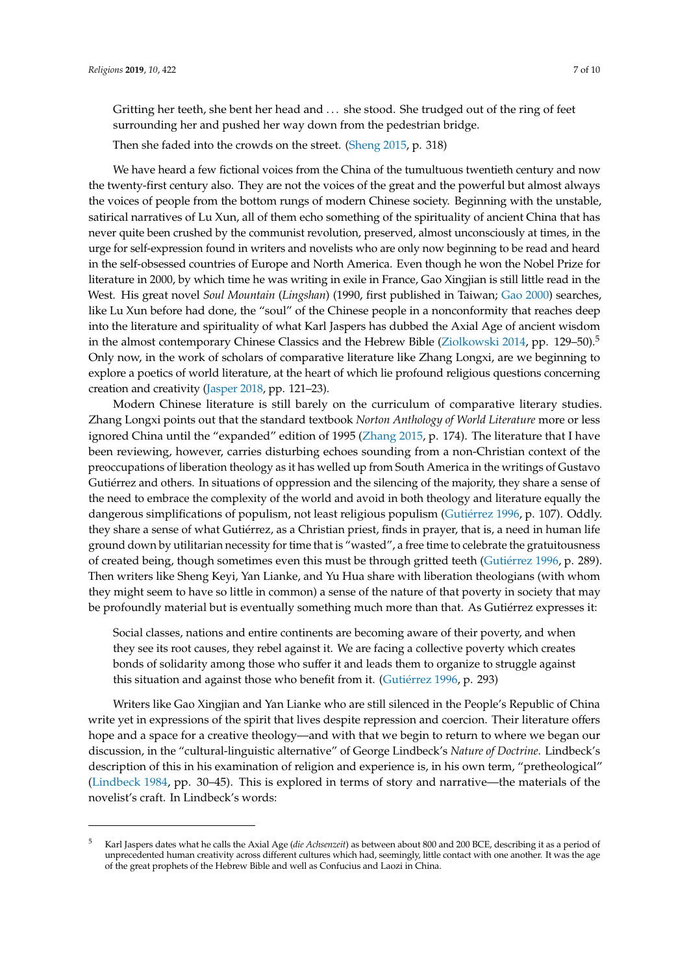Gritting her teeth, she bent her head and . . . she stood. She trudged out of the ring of feet surrounding her and pushed her way down from the pedestrian bridge.

Then she faded into the crowds on the street. [\(Sheng](#page-8-17) [2015,](#page-8-17) p. 318)

We have heard a few fictional voices from the China of the tumultuous twentieth century and now the twenty-first century also. They are not the voices of the great and the powerful but almost always the voices of people from the bottom rungs of modern Chinese society. Beginning with the unstable, satirical narratives of Lu Xun, all of them echo something of the spirituality of ancient China that has never quite been crushed by the communist revolution, preserved, almost unconsciously at times, in the urge for self-expression found in writers and novelists who are only now beginning to be read and heard in the self-obsessed countries of Europe and North America. Even though he won the Nobel Prize for literature in 2000, by which time he was writing in exile in France, Gao Xingjian is still little read in the West. His great novel *Soul Mountain* (*Lingshan*) (1990, first published in Taiwan; [Gao](#page-9-9) [2000\)](#page-9-9) searches, like Lu Xun before had done, the "soul" of the Chinese people in a nonconformity that reaches deep into the literature and spirituality of what Karl Jaspers has dubbed the Axial Age of ancient wisdom in the almost contemporary Chinese Classics and the Hebrew Bible [\(Ziolkowski](#page-9-10) [2014,](#page-9-10) pp. 129–50).<sup>5</sup> Only now, in the work of scholars of comparative literature like Zhang Longxi, are we beginning to explore a poetics of world literature, at the heart of which lie profound religious questions concerning creation and creativity [\(Jasper](#page-8-1) [2018,](#page-8-1) pp. 121–23).

Modern Chinese literature is still barely on the curriculum of comparative literary studies. Zhang Longxi points out that the standard textbook *Norton Anthology of World Literature* more or less ignored China until the "expanded" edition of 1995 [\(Zhang](#page-8-3) [2015,](#page-8-3) p. 174). The literature that I have been reviewing, however, carries disturbing echoes sounding from a non-Christian context of the preoccupations of liberation theology as it has welled up from South America in the writings of Gustavo Gutiérrez and others. In situations of oppression and the silencing of the majority, they share a sense of the need to embrace the complexity of the world and avoid in both theology and literature equally the dangerous simplifications of populism, not least religious populism [\(Guti](#page-8-9)érrez [1996,](#page-8-9) p. 107). Oddly. they share a sense of what Gutiérrez, as a Christian priest, finds in prayer, that is, a need in human life ground down by utilitarian necessity for time that is "wasted", a free time to celebrate the gratuitousness of created being, though sometimes even this must be through gritted teeth [\(Guti](#page-8-9)érrez [1996,](#page-8-9) p. 289). Then writers like Sheng Keyi, Yan Lianke, and Yu Hua share with liberation theologians (with whom they might seem to have so little in common) a sense of the nature of that poverty in society that may be profoundly material but is eventually something much more than that. As Gutiérrez expresses it:

Social classes, nations and entire continents are becoming aware of their poverty, and when they see its root causes, they rebel against it. We are facing a collective poverty which creates bonds of solidarity among those who suffer it and leads them to organize to struggle against this situation and against those who benefit from it. [\(Guti](#page-8-9)érrez [1996,](#page-8-9) p. 293)

Writers like Gao Xingjian and Yan Lianke who are still silenced in the People's Republic of China write yet in expressions of the spirit that lives despite repression and coercion. Their literature offers hope and a space for a creative theology—and with that we begin to return to where we began our discussion, in the "cultural-linguistic alternative" of George Lindbeck's *Nature of Doctrine*. Lindbeck's description of this in his examination of religion and experience is, in his own term, "pretheological" [\(Lindbeck](#page-8-5) [1984,](#page-8-5) pp. 30–45). This is explored in terms of story and narrative—the materials of the novelist's craft. In Lindbeck's words:

<sup>5</sup> Karl Jaspers dates what he calls the Axial Age (*die Achsenzeit*) as between about 800 and 200 BCE, describing it as a period of unprecedented human creativity across different cultures which had, seemingly, little contact with one another. It was the age of the great prophets of the Hebrew Bible and well as Confucius and Laozi in China.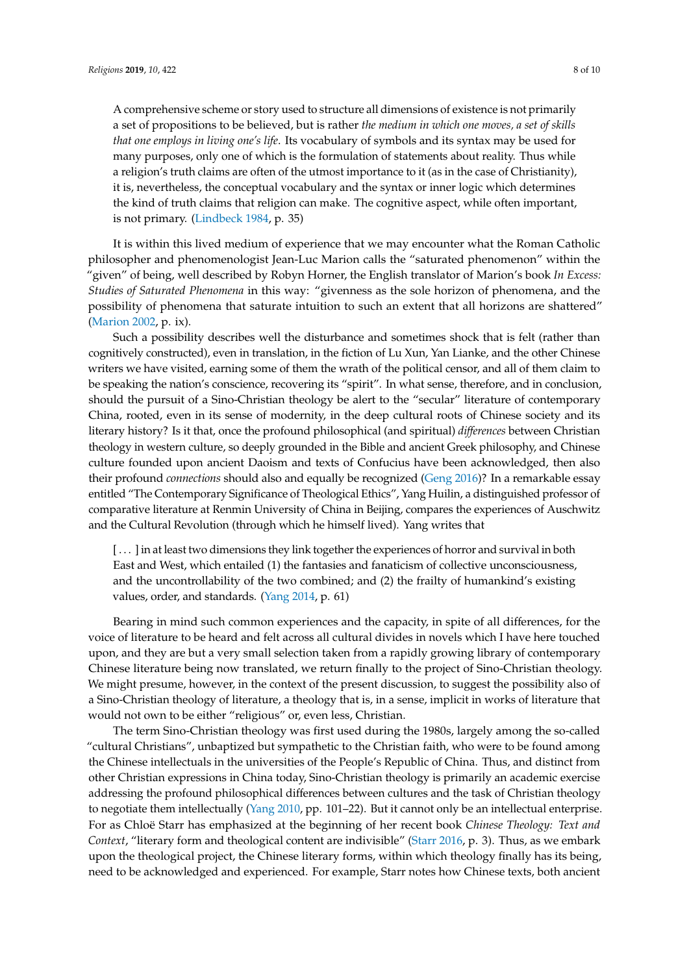A comprehensive scheme or story used to structure all dimensions of existence is not primarily a set of propositions to be believed, but is rather *the medium in which one moves, a set of skills that one employs in living one's life*. Its vocabulary of symbols and its syntax may be used for many purposes, only one of which is the formulation of statements about reality. Thus while a religion's truth claims are often of the utmost importance to it (as in the case of Christianity), it is, nevertheless, the conceptual vocabulary and the syntax or inner logic which determines the kind of truth claims that religion can make. The cognitive aspect, while often important, is not primary. [\(Lindbeck](#page-8-5) [1984,](#page-8-5) p. 35)

It is within this lived medium of experience that we may encounter what the Roman Catholic philosopher and phenomenologist Jean-Luc Marion calls the "saturated phenomenon" within the "given" of being, well described by Robyn Horner, the English translator of Marion's book *In Excess: Studies of Saturated Phenomena* in this way: "givenness as the sole horizon of phenomena, and the possibility of phenomena that saturate intuition to such an extent that all horizons are shattered" [\(Marion](#page-9-3) [2002,](#page-9-3) p. ix).

Such a possibility describes well the disturbance and sometimes shock that is felt (rather than cognitively constructed), even in translation, in the fiction of Lu Xun, Yan Lianke, and the other Chinese writers we have visited, earning some of them the wrath of the political censor, and all of them claim to be speaking the nation's conscience, recovering its "spirit". In what sense, therefore, and in conclusion, should the pursuit of a Sino-Christian theology be alert to the "secular" literature of contemporary China, rooted, even in its sense of modernity, in the deep cultural roots of Chinese society and its literary history? Is it that, once the profound philosophical (and spiritual) *differences* between Christian theology in western culture, so deeply grounded in the Bible and ancient Greek philosophy, and Chinese culture founded upon ancient Daoism and texts of Confucius have been acknowledged, then also their profound *connections* should also and equally be recognized [\(Geng](#page-9-11) [2016\)](#page-9-11)? In a remarkable essay entitled "The Contemporary Significance of Theological Ethics", Yang Huilin, a distinguished professor of comparative literature at Renmin University of China in Beijing, compares the experiences of Auschwitz and the Cultural Revolution (through which he himself lived). Yang writes that

[...] in at least two dimensions they link together the experiences of horror and survival in both East and West, which entailed (1) the fantasies and fanaticism of collective unconsciousness, and the uncontrollability of the two combined; and (2) the frailty of humankind's existing values, order, and standards. [\(Yang](#page-8-18) [2014,](#page-8-18) p. 61)

Bearing in mind such common experiences and the capacity, in spite of all differences, for the voice of literature to be heard and felt across all cultural divides in novels which I have here touched upon, and they are but a very small selection taken from a rapidly growing library of contemporary Chinese literature being now translated, we return finally to the project of Sino-Christian theology. We might presume, however, in the context of the present discussion, to suggest the possibility also of a Sino-Christian theology of literature, a theology that is, in a sense, implicit in works of literature that would not own to be either "religious" or, even less, Christian.

The term Sino-Christian theology was first used during the 1980s, largely among the so-called "cultural Christians", unbaptized but sympathetic to the Christian faith, who were to be found among the Chinese intellectuals in the universities of the People's Republic of China. Thus, and distinct from other Christian expressions in China today, Sino-Christian theology is primarily an academic exercise addressing the profound philosophical differences between cultures and the task of Christian theology to negotiate them intellectually [\(Yang](#page-8-19) [2010,](#page-8-19) pp. 101–22). But it cannot only be an intellectual enterprise. For as Chloë Starr has emphasized at the beginning of her recent book *Chinese Theology: Text and Context*, "literary form and theological content are indivisible" [\(Starr](#page-9-0) [2016,](#page-9-0) p. 3). Thus, as we embark upon the theological project, the Chinese literary forms, within which theology finally has its being, need to be acknowledged and experienced. For example, Starr notes how Chinese texts, both ancient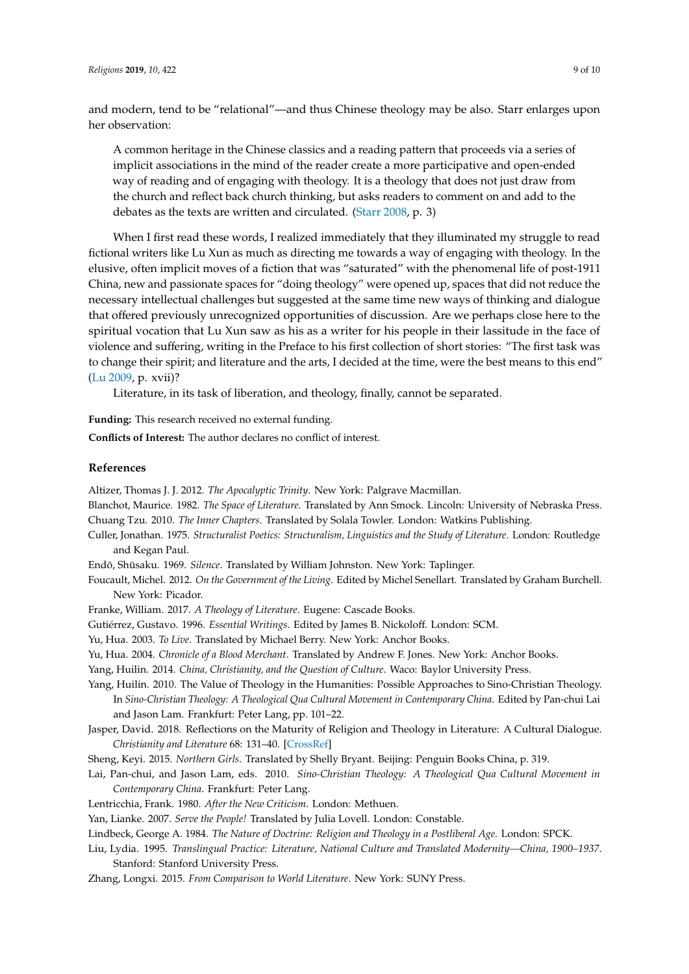and modern, tend to be "relational"—and thus Chinese theology may be also. Starr enlarges upon her observation:

A common heritage in the Chinese classics and a reading pattern that proceeds via a series of implicit associations in the mind of the reader create a more participative and open-ended way of reading and of engaging with theology. It is a theology that does not just draw from the church and reflect back church thinking, but asks readers to comment on and add to the debates as the texts are written and circulated. [\(Starr](#page-9-12) [2008,](#page-9-12) p. 3)

When I first read these words, I realized immediately that they illuminated my struggle to read fictional writers like Lu Xun as much as directing me towards a way of engaging with theology. In the elusive, often implicit moves of a fiction that was "saturated" with the phenomenal life of post-1911 China, new and passionate spaces for "doing theology" were opened up, spaces that did not reduce the necessary intellectual challenges but suggested at the same time new ways of thinking and dialogue that offered previously unrecognized opportunities of discussion. Are we perhaps close here to the spiritual vocation that Lu Xun saw as his as a writer for his people in their lassitude in the face of violence and suffering, writing in the Preface to his first collection of short stories: "The first task was to change their spirit; and literature and the arts, I decided at the time, were the best means to this end" [\(Lu](#page-9-5) [2009,](#page-9-5) p. xvii)?

Literature, in its task of liberation, and theology, finally, cannot be separated.

**Funding:** This research received no external funding.

**Conflicts of Interest:** The author declares no conflict of interest.

## **References**

<span id="page-8-8"></span>Altizer, Thomas J. J. 2012. *The Apocalyptic Trinity*. New York: Palgrave Macmillan.

- <span id="page-8-13"></span><span id="page-8-4"></span>Blanchot, Maurice. 1982. *The Space of Literature*. Translated by Ann Smock. Lincoln: University of Nebraska Press. Chuang Tzu. 2010. *The Inner Chapters*. Translated by Solala Towler. London: Watkins Publishing.
- <span id="page-8-6"></span>Culler, Jonathan. 1975. *Structuralist Poetics: Structuralism, Linguistics and the Study of Literature*. London: Routledge and Kegan Paul.
- <span id="page-8-10"></span>Endō, Shūsaku. 1969. *Silence*. Translated by William Johnston. New York: Taplinger.
- <span id="page-8-12"></span>Foucault, Michel. 2012. *On the Government of the Living*. Edited by Michel Senellart. Translated by Graham Burchell. New York: Picador.

<span id="page-8-2"></span>Franke, William. 2017. *A Theology of Literature*. Eugene: Cascade Books.

- <span id="page-8-9"></span>Gutiérrez, Gustavo. 1996. *Essential Writings*. Edited by James B. Nickoloff. London: SCM.
- <span id="page-8-15"></span><span id="page-8-14"></span>Yu, Hua. 2003. *To Live*. Translated by Michael Berry. New York: Anchor Books.
- Yu, Hua. 2004. *Chronicle of a Blood Merchant*. Translated by Andrew F. Jones. New York: Anchor Books.
- <span id="page-8-18"></span>Yang, Huilin. 2014. *China, Christianity, and the Question of Culture*. Waco: Baylor University Press.
- <span id="page-8-19"></span>Yang, Huilin. 2010. The Value of Theology in the Humanities: Possible Approaches to Sino-Christian Theology. In *Sino-Christian Theology: A Theological Qua Cultural Movement in Contemporary China*. Edited by Pan-chui Lai and Jason Lam. Frankfurt: Peter Lang, pp. 101–22.
- <span id="page-8-1"></span>Jasper, David. 2018. Reflections on the Maturity of Religion and Theology in Literature: A Cultural Dialogue. *Christianity and Literature* 68: 131–40. [\[CrossRef\]](http://dx.doi.org/10.1177/0148333118793458)
- <span id="page-8-17"></span><span id="page-8-0"></span>Sheng, Keyi. 2015. *Northern Girls*. Translated by Shelly Bryant. Beijing: Penguin Books China, p. 319.
- Lai, Pan-chui, and Jason Lam, eds. 2010. *Sino-Christian Theology: A Theological Qua Cultural Movement in Contemporary China*. Frankfurt: Peter Lang.
- <span id="page-8-7"></span>Lentricchia, Frank. 1980. *After the New Criticism*. London: Methuen.
- <span id="page-8-16"></span>Yan, Lianke. 2007. *Serve the People!* Translated by Julia Lovell. London: Constable.

<span id="page-8-5"></span>Lindbeck, George A. 1984. *The Nature of Doctrine: Religion and Theology in a Postliberal Age*. London: SPCK.

- <span id="page-8-11"></span>Liu, Lydia. 1995. *Translingual Practice: Literature, National Culture and Translated Modernity—China, 1900–1937*. Stanford: Stanford University Press.
- <span id="page-8-3"></span>Zhang, Longxi. 2015. *From Comparison to World Literature*. New York: SUNY Press.